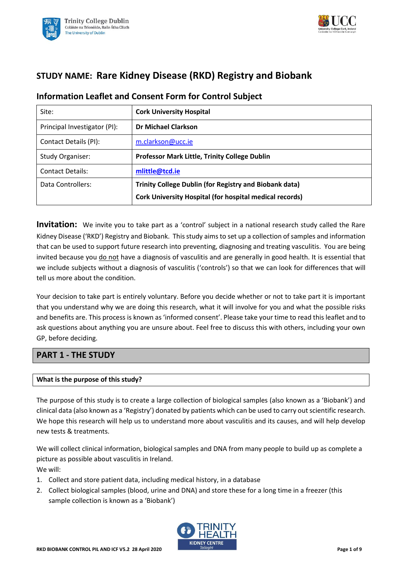



# **STUDY NAME: Rare Kidney Disease (RKD) Registry and Biobank**

| Site:                        | <b>Cork University Hospital</b>                                |
|------------------------------|----------------------------------------------------------------|
| Principal Investigator (PI): | <b>Dr Michael Clarkson</b>                                     |
| Contact Details (PI):        | m.clarkson@ucc.ie                                              |
| Study Organiser:             | Professor Mark Little, Trinity College Dublin                  |
| <b>Contact Details:</b>      | mlittle@tcd.ie                                                 |
| Data Controllers:            | <b>Trinity College Dublin (for Registry and Biobank data)</b>  |
|                              | <b>Cork University Hospital (for hospital medical records)</b> |

# **Information Leaflet and Consent Form for Control Subject**

**Invitation:** We invite you to take part as a 'control' subject in a national research study called the Rare Kidney Disease ('RKD') Registry and Biobank. This study aims to set up a collection of samples and information that can be used to support future research into preventing, diagnosing and treating vasculitis. You are being invited because you do not have a diagnosis of vasculitis and are generally in good health. It is essential that we include subjects without a diagnosis of vasculitis ('controls') so that we can look for differences that will tell us more about the condition.

Your decision to take part is entirely voluntary. Before you decide whether or not to take part it is important that you understand why we are doing this research, what it will involve for you and what the possible risks and benefits are. This process is known as 'informed consent'. Please take your time to read this leaflet and to ask questions about anything you are unsure about. Feel free to discuss this with others, including your own GP, before deciding.

## **PART 1 - THE STUDY**

### **What is the purpose of this study?**

The purpose of this study is to create a large collection of biological samples (also known as a 'Biobank') and clinical data (also known as a 'Registry') donated by patients which can be used to carry out scientific research. We hope this research will help us to understand more about vasculitis and its causes, and will help develop new tests & treatments.

We will collect clinical information, biological samples and DNA from many people to build up as complete a picture as possible about vasculitis in Ireland. We will:

- 1. Collect and store patient data, including medical history, in a database
- 2. Collect biological samples (blood, urine and DNA) and store these for a long time in a freezer (this sample collection is known as a 'Biobank')

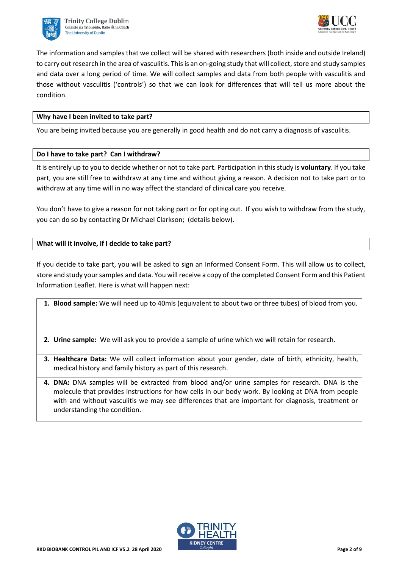



The information and samples that we collect will be shared with researchers (both inside and outside Ireland) to carry out research in the area of vasculitis. This is an on-going study that will collect, store and study samples and data over a long period of time. We will collect samples and data from both people with vasculitis and those without vasculitis ('controls') so that we can look for differences that will tell us more about the condition.

### **Why have I been invited to take part?**

You are being invited because you are generally in good health and do not carry a diagnosis of vasculitis.

### **Do I have to take part? Can I withdraw?**

It is entirely up to you to decide whether or not to take part. Participation in this study is **voluntary**. If you take part, you are still free to withdraw at any time and without giving a reason. A decision not to take part or to withdraw at any time will in no way affect the standard of clinical care you receive.

You don't have to give a reason for not taking part or for opting out. If you wish to withdraw from the study, you can do so by contacting Dr Michael Clarkson; (details below).

### **What will it involve, if I decide to take part?**

If you decide to take part, you will be asked to sign an Informed Consent Form. This will allow us to collect, store and study yoursamples and data. You will receive a copy of the completed Consent Form and this Patient Information Leaflet. Here is what will happen next:

**1. Blood sample:** We will need up to 40mls (equivalent to about two or three tubes) of blood from you.

- **2. Urine sample:** We will ask you to provide a sample of urine which we will retain for research.
- **3. Healthcare Data:** We will collect information about your gender, date of birth, ethnicity, health, medical history and family history as part of this research.
- **4. DNA:** DNA samples will be extracted from blood and/or urine samples for research. DNA is the molecule that provides instructions for how cells in our body work. By looking at DNA from people with and without vasculitis we may see differences that are important for diagnosis, treatment or understanding the condition.

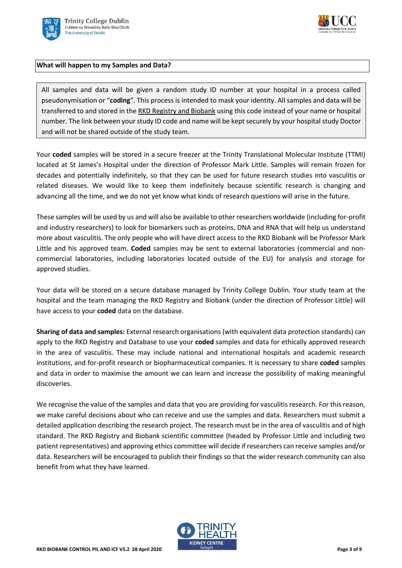



### **What will happen to my Samples and Data?**

All samples and data will be given a random study ID number at your hospital in a process called pseudonymisation or "**coding**". This process is intended to mask your identity. All samples and data will be transferred to and stored in the RKD Registry and Biobank using this code instead of your name or hospital number. The link between your study ID code and name will be kept securely by your hospital study Doctor and will not be shared outside of the study team.

Your **coded** samples will be stored in a secure freezer at the Trinity Translational Molecular Institute (TTMI) located at St James's Hospital under the direction of Professor Mark Little. Samples will remain frozen for decades and potentially indefinitely, so that they can be used for future research studies into vasculitis or related diseases. We would like to keep them indefinitely because scientific research is changing and advancing all the time, and we do not yet know what kinds of research questions will arise in the future.

These samples will be used by us and will also be available to other researchers worldwide (including for-profit and industry researchers) to look for biomarkers such as proteins, DNA and RNA that will help us understand more about vasculitis. The only people who will have direct access to the RKD Biobank will be Professor Mark Little and his approved team. **Coded** samples may be sent to external laboratories (commercial and noncommercial laboratories, including laboratories located outside of the EU) for analysis and storage for approved studies.

Your data will be stored on a secure database managed by Trinity College Dublin. Your study team at the hospital and the team managing the RKD Registry and Biobank (under the direction of Professor Little) will have access to your **coded** data on the database.

**Sharing of data and samples:** External research organisations (with equivalent data protection standards) can apply to the RKD Registry and Database to use your **coded** samples and data for ethically approved research in the area of vasculitis. These may include national and international hospitals and academic research institutions, and for-profit research or biopharmaceutical companies. It is necessary to share **coded** samples and data in order to maximise the amount we can learn and increase the possibility of making meaningful discoveries.

We recognise the value of the samples and data that you are providing for vasculitis research. For this reason, we make careful decisions about who can receive and use the samples and data. Researchers must submit a detailed application describing the research project. The research must be in the area of vasculitis and of high standard. The RKD Registry and Biobank scientific committee (headed by Professor Little and including two patient representatives) and approving ethics committee will decide if researchers can receive samples and/or data. Researchers will be encouraged to publish their findings so that the wider research community can also benefit from what they have learned.

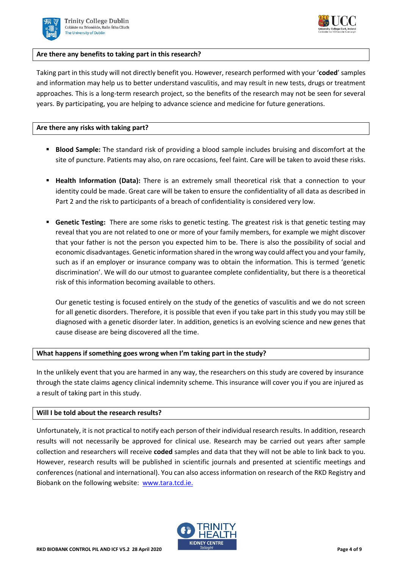



### **Are there any benefits to taking part in this research?**

Taking part in this study will not directly benefit you. However, research performed with your '**coded**' samples and information may help us to better understand vasculitis, and may result in new tests, drugs or treatment approaches. This is a long-term research project, so the benefits of the research may not be seen for several years. By participating, you are helping to advance science and medicine for future generations.

### **Are there any risks with taking part?**

- **EXEDENT Blood Sample:** The standard risk of providing a blood sample includes bruising and discomfort at the site of puncture. Patients may also, on rare occasions, feel faint. Care will be taken to avoid these risks.
- **EXT** Health Information (Data): There is an extremely small theoretical risk that a connection to your identity could be made. Great care will be taken to ensure the confidentiality of all data as described in Part 2 and the risk to participants of a breach of confidentiality is considered very low.
- **Genetic Testing:** There are some risks to genetic testing. The greatest risk is that genetic testing may reveal that you are not related to one or more of your family members, for example we might discover that your father is not the person you expected him to be. There is also the possibility of social and economic disadvantages. Genetic information shared in the wrong way could affect you and your family, such as if an employer or insurance company was to obtain the information. This is termed 'genetic discrimination'. We will do our utmost to guarantee complete confidentiality, but there is a theoretical risk of this information becoming available to others.

Our genetic testing is focused entirely on the study of the genetics of vasculitis and we do not screen for all genetic disorders. Therefore, it is possible that even if you take part in this study you may still be diagnosed with a genetic disorder later. In addition, genetics is an evolving science and new genes that cause disease are being discovered all the time.

### **What happens if something goes wrong when I'm taking part in the study?**

In the unlikely event that you are harmed in any way, the researchers on this study are covered by insurance through the state claims agency clinical indemnity scheme. This insurance will cover you if you are injured as a result of taking part in this study.

### **Will I be told about the research results?**

Unfortunately, it is not practical to notify each person of their individual research results. In addition, research results will not necessarily be approved for clinical use. Research may be carried out years after sample collection and researchers will receive **coded** samples and data that they will not be able to link back to you. However, research results will be published in scientific journals and presented at scientific meetings and conferences (national and international). You can also access information on research of the RKD Registry and Biobank on the following website: [www.tara.tcd.ie.](http://www.tara.tcd.ie/)

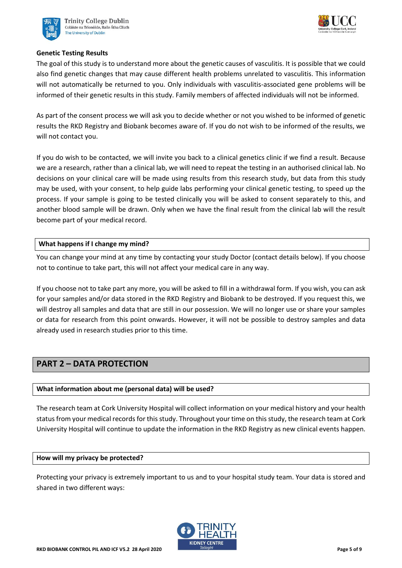



### **Genetic Testing Results**

The goal of this study is to understand more about the genetic causes of vasculitis. It is possible that we could also find genetic changes that may cause different health problems unrelated to vasculitis. This information will not automatically be returned to you. Only individuals with vasculitis-associated gene problems will be informed of their genetic results in this study. Family members of affected individuals will not be informed.

As part of the consent process we will ask you to decide whether or not you wished to be informed of genetic results the RKD Registry and Biobank becomes aware of. If you do not wish to be informed of the results, we will not contact you.

If you do wish to be contacted, we will invite you back to a clinical genetics clinic if we find a result. Because we are a research, rather than a clinical lab, we will need to repeat the testing in an authorised clinical lab. No decisions on your clinical care will be made using results from this research study, but data from this study may be used, with your consent, to help guide labs performing your clinical genetic testing, to speed up the process. If your sample is going to be tested clinically you will be asked to consent separately to this, and another blood sample will be drawn. Only when we have the final result from the clinical lab will the result become part of your medical record.

### **What happens if I change my mind?**

You can change your mind at any time by contacting your study Doctor (contact details below). If you choose not to continue to take part, this will not affect your medical care in any way.

If you choose not to take part any more, you will be asked to fill in a withdrawal form. If you wish, you can ask for your samples and/or data stored in the RKD Registry and Biobank to be destroyed. If you request this, we will destroy all samples and data that are still in our possession. We will no longer use or share your samples or data for research from this point onwards. However, it will not be possible to destroy samples and data already used in research studies prior to this time.

# **PART 2 – DATA PROTECTION**

### **What information about me (personal data) will be used?**

The research team at Cork University Hospital will collect information on your medical history and your health status from your medical records for this study. Throughout your time on this study, the research team at Cork University Hospital will continue to update the information in the RKD Registry as new clinical events happen.

### **How will my privacy be protected?**

Protecting your privacy is extremely important to us and to your hospital study team. Your data is stored and shared in two different ways:

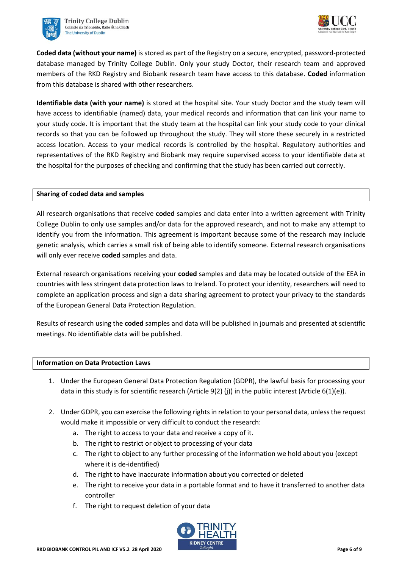



**Coded data (without your name)** is stored as part of the Registry on a secure, encrypted, password-protected database managed by Trinity College Dublin. Only your study Doctor, their research team and approved members of the RKD Registry and Biobank research team have access to this database. **Coded** information from this database is shared with other researchers.

**Identifiable data (with your name)** is stored at the hospital site. Your study Doctor and the study team will have access to identifiable (named) data, your medical records and information that can link your name to your study code. It is important that the study team at the hospital can link your study code to your clinical records so that you can be followed up throughout the study. They will store these securely in a restricted access location. Access to your medical records is controlled by the hospital. Regulatory authorities and representatives of the RKD Registry and Biobank may require supervised access to your identifiable data at the hospital for the purposes of checking and confirming that the study has been carried out correctly.

### **Sharing of coded data and samples**

All research organisations that receive **coded** samples and data enter into a written agreement with Trinity College Dublin to only use samples and/or data for the approved research, and not to make any attempt to identify you from the information. This agreement is important because some of the research may include genetic analysis, which carries a small risk of being able to identify someone. External research organisations will only ever receive **coded** samples and data.

External research organisations receiving your **coded** samples and data may be located outside of the EEA in countries with less stringent data protection laws to Ireland. To protect your identity, researchers will need to complete an application process and sign a data sharing agreement to protect your privacy to the standards of the European General Data Protection Regulation.

Results of research using the **coded** samples and data will be published in journals and presented at scientific meetings. No identifiable data will be published.

### **Information on Data Protection Laws**

- 1. Under the European General Data Protection Regulation (GDPR), the lawful basis for processing your data in this study is for scientific research (Article 9(2) (j)) in the public interest (Article 6(1)(e)).
- 2. Under GDPR, you can exercise the following rights in relation to your personal data, unless the request would make it impossible or very difficult to conduct the research:
	- a. The right to access to your data and receive a copy of it.
	- b. The right to restrict or object to processing of your data
	- c. The right to object to any further processing of the information we hold about you (except where it is de-identified)
	- d. The right to have inaccurate information about you corrected or deleted
	- e. The right to receive your data in a portable format and to have it transferred to another data controller
	- f. The right to request deletion of your data

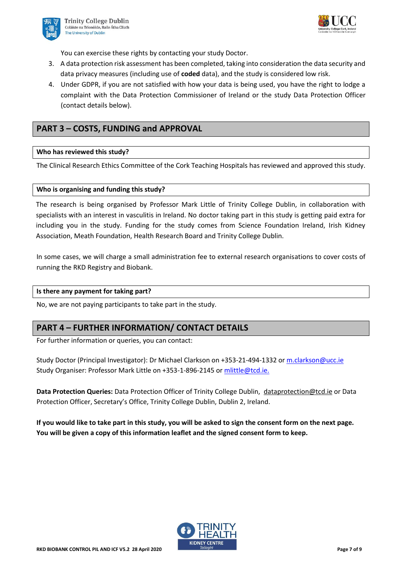



You can exercise these rights by contacting your study Doctor.

- 3. A data protection risk assessment has been completed, taking into consideration the data security and data privacy measures (including use of **coded** data), and the study is considered low risk.
- 4. Under GDPR, if you are not satisfied with how your data is being used, you have the right to lodge a complaint with the Data Protection Commissioner of Ireland or the study Data Protection Officer (contact details below).

# **PART 3 – COSTS, FUNDING and APPROVAL**

### **Who has reviewed this study?**

The Clinical Research Ethics Committee of the Cork Teaching Hospitals has reviewed and approved this study.

### **Who is organising and funding this study?**

The research is being organised by Professor Mark Little of Trinity College Dublin, in collaboration with specialists with an interest in vasculitis in Ireland. No doctor taking part in this study is getting paid extra for including you in the study. Funding for the study comes from Science Foundation Ireland, Irish Kidney Association, Meath Foundation, Health Research Board and Trinity College Dublin.

In some cases, we will charge a small administration fee to external research organisations to cover costs of running the RKD Registry and Biobank.

#### **Is there any payment for taking part?**

No, we are not paying participants to take part in the study.

## **PART 4 – FURTHER INFORMATION/ CONTACT DETAILS**

For further information or queries, you can contact:

Study Doctor (Principal Investigator): Dr Michael Clarkson on +353-21-494-1332 o[r m.clarkson@ucc.ie](file://///nas.ucc.ie/Groups/CRFCQuality/Regulatory%20and%20Ethics/RKD%20Clarkson/CREC%20submission%20April%202020/CREC%20Resubmission%2021%20Apirl/m.clarkson@ucc.ie) Study Organiser: Professor Mark Little on +353-1-896-2145 or [mlittle@tcd.ie.](mailto:mlittle@tcd.ie)

**Data Protection Queries:** Data Protection Officer of Trinity College Dublin, [dataprotection@tcd.ie](mailto:dataprotection@tcd.ie) or Data Protection Officer, Secretary's Office, Trinity College Dublin, Dublin 2, Ireland.

**If you would like to take part in this study, you will be asked to sign the consent form on the next page. You will be given a copy of this information leaflet and the signed consent form to keep.**

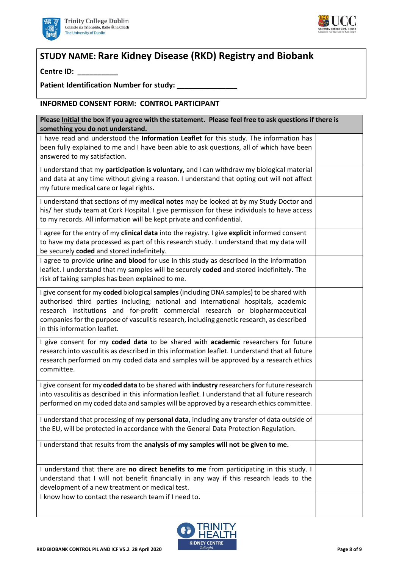



# **STUDY NAME: Rare Kidney Disease (RKD) Registry and Biobank**

**Centre ID: \_\_\_\_\_\_\_\_\_\_**

Patient Identification Number for study:

### **INFORMED CONSENT FORM: CONTROL PARTICIPANT**

| Please Initial the box if you agree with the statement. Please feel free to ask questions if there is |  |  |  |
|-------------------------------------------------------------------------------------------------------|--|--|--|
| something you do not understand.                                                                      |  |  |  |
| I have read and understood the Information Leaflet for this study. The information has                |  |  |  |
| been fully explained to me and I have been able to ask questions, all of which have been              |  |  |  |
| answered to my satisfaction.                                                                          |  |  |  |
| I understand that my participation is voluntary, and I can withdraw my biological material            |  |  |  |
| and data at any time without giving a reason. I understand that opting out will not affect            |  |  |  |
| my future medical care or legal rights.                                                               |  |  |  |
|                                                                                                       |  |  |  |
| I understand that sections of my medical notes may be looked at by my Study Doctor and                |  |  |  |
| his/ her study team at Cork Hospital. I give permission for these individuals to have access          |  |  |  |
| to my records. All information will be kept private and confidential.                                 |  |  |  |
| I agree for the entry of my clinical data into the registry. I give explicit informed consent         |  |  |  |
| to have my data processed as part of this research study. I understand that my data will              |  |  |  |
| be securely coded and stored indefinitely.                                                            |  |  |  |
| I agree to provide urine and blood for use in this study as described in the information              |  |  |  |
| leaflet. I understand that my samples will be securely coded and stored indefinitely. The             |  |  |  |
| risk of taking samples has been explained to me.                                                      |  |  |  |
|                                                                                                       |  |  |  |
| I give consent for my coded biological samples (including DNA samples) to be shared with              |  |  |  |
| authorised third parties including; national and international hospitals, academic                    |  |  |  |
| research institutions and for-profit commercial research or biopharmaceutical                         |  |  |  |
| companies for the purpose of vasculitis research, including genetic research, as described            |  |  |  |
| in this information leaflet.                                                                          |  |  |  |
| I give consent for my coded data to be shared with academic researchers for future                    |  |  |  |
| research into vasculitis as described in this information leaflet. I understand that all future       |  |  |  |
| research performed on my coded data and samples will be approved by a research ethics                 |  |  |  |
| committee.                                                                                            |  |  |  |
|                                                                                                       |  |  |  |
| I give consent for my coded data to be shared with industry researchers for future research           |  |  |  |
| into vasculitis as described in this information leaflet. I understand that all future research       |  |  |  |
| performed on my coded data and samples will be approved by a research ethics committee.               |  |  |  |
|                                                                                                       |  |  |  |
| I understand that processing of my <b>personal data</b> , including any transfer of data outside of   |  |  |  |
| the EU, will be protected in accordance with the General Data Protection Regulation.                  |  |  |  |
| I understand that results from the analysis of my samples will not be given to me.                    |  |  |  |
|                                                                                                       |  |  |  |
|                                                                                                       |  |  |  |
| I understand that there are no direct benefits to me from participating in this study. I              |  |  |  |
| understand that I will not benefit financially in any way if this research leads to the               |  |  |  |
| development of a new treatment or medical test.                                                       |  |  |  |
| I know how to contact the research team if I need to.                                                 |  |  |  |